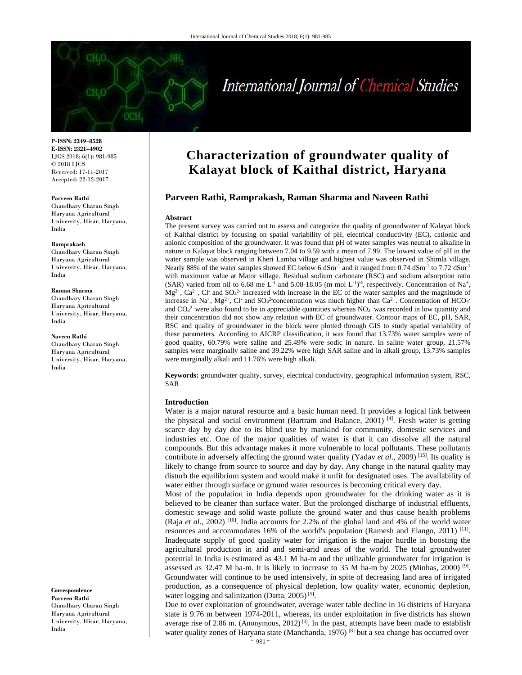# International Journal of Chemical Studies

**P-ISSN: 2349–8528 E-ISSN: 2321–4902**  IJCS 2018; 6(1): 981-985 © 2018 IJCS Received: 17-11-2017 Accepted: 22-12-2017

#### **Parveen Rathi**

Chaudhary Charan Singh Haryana Agricultural University, Hisar, Haryana, India

#### **Ramprakash**

Chaudhary Charan Singh Haryana Agricultural University, Hisar, Haryana, India

## **Raman Sharma**

Chaudhary Charan Singh Haryana Agricultural University, Hisar, Haryana, India

#### **Naveen Rathi**

Chaudhary Charan Singh Haryana Agricultural University, Hisar, Haryana, India

**Correspondence Parveen Rathi**  Chaudhary Charan Singh Haryana Agricultural University, Hisar, Haryana, India

# **Characterization of groundwater quality of Kalayat block of Kaithal district, Haryana**

# **Parveen Rathi, Ramprakash, Raman Sharma and Naveen Rathi**

#### **Abstract**

The present survey was carried out to assess and categorize the quality of groundwater of Kalayat block of Kaithal district by focusing on spatial variability of pH, electrical conductivity (EC), cationic and anionic composition of the groundwater. It was found that pH of water samples was neutral to alkaline in nature in Kalayat block ranging between 7.04 to 9.59 with a mean of 7.99. The lowest value of pH in the water sample was observed in Kheri Lamba village and highest value was observed in Shimla village. Nearly 88% of the water samples showed EC below 6 dSm<sup>-1</sup> and it ranged from 0.74 dSm<sup>-1</sup> to 7.72 dSm<sup>-1</sup> with maximum value at Mator village. Residual sodium carbonate (RSC) and sodium adsorption ratio (SAR) varied from nil to 6.68 me L<sup>-1</sup> and 5.08-18.05 (m mol L<sup>-1)'</sup><sup>2</sup>, respectively. Concentration of Na<sup>+</sup>,  $Mg^{2+}$ , Ca<sup>2+</sup>, Cl<sup>-</sup> and SO<sub>4</sub><sup>2-</sup> increased with increase in the EC of the water samples and the magnitude of increase in Na<sup>+</sup>, Mg<sup>2+</sup>, Cl<sup>-</sup> and SO<sub>4</sub><sup>2</sup> concentration was much higher than Ca<sup>2+</sup>. Concentration of HCO<sub>3</sub><sup>-</sup> and  $CO<sub>3</sub><sup>2</sup>$  were also found to be in appreciable quantities whereas NO<sub>3</sub> was recorded in low quantity and their concentration did not show any relation with EC of groundwater. Contour maps of EC, pH, SAR, RSC and quality of groundwater in the block were plotted through GIS to study spatial variability of these parameters. According to AICRP classification, it was found that 13.73% water samples were of good quality, 60.79% were saline and 25.49% were sodic in nature. In saline water group, 21.57% samples were marginally saline and 39.22% were high SAR saline and in alkali group, 13.73% samples were marginally alkali and 11.76% were high alkali.

**Keywords:** groundwater quality, survey, electrical conductivity, geographical information system, RSC, SAR

# **Introduction**

Water is a major natural resource and a basic human need. It provides a logical link between the physical and social environment (Bartram and Balance, 2001) [4]. Fresh water is getting scarce day by day due to its blind use by mankind for community, domestic services and industries etc. One of the major qualities of water is that it can dissolve all the natural compounds. But this advantage makes it more vulnerable to local pollutants. These pollutants contribute in adversely affecting the ground water quality (Yadav *et al*., 2009) [15]. Its quality is likely to change from source to source and day by day. Any change in the natural quality may disturb the equilibrium system and would make it unfit for designated uses. The availability of water either through surface or ground water resources is becoming critical every day.

Most of the population in India depends upon groundwater for the drinking water as it is believed to be cleaner than surface water. But the prolonged discharge of industrial effluents, domestic sewage and solid waste pollute the ground water and thus cause health problems (Raja *et al*., 2002) [10]. India accounts for 2.2% of the global land and 4% of the world water resources and accommodates 16% of the world's population (Ramesh and Elango, 2011)  $[11]$ . Inadequate supply of good quality water for irrigation is the major hurdle in boosting the agricultural production in arid and semi-arid areas of the world. The total groundwater potential in India is estimated as 43.1 M ha-m and the utilizable groundwater for irrigation is assessed as 32.47 M ha-m. It is likely to increase to 35 M ha-m by 2025 (Minhas, 2000) <sup>[9]</sup>. Groundwater will continue to be used intensively, in spite of decreasing land area of irrigated production, as a consequence of physical depletion, low quality water, economic depletion, water logging and salinization (Datta,  $2005$ )<sup>[5]</sup>.

Due to over exploitation of groundwater, average water table decline in 16 districts of Haryana state is 9.76 m between 1974-2011, whereas, its under exploitation in five districts has shown average rise of 2.86 m. (Anonymous,  $2012$ )<sup>[3]</sup>. In the past, attempts have been made to establish water quality zones of Haryana state (Manchanda, 1976)<sup>[8]</sup> but a sea change has occurred over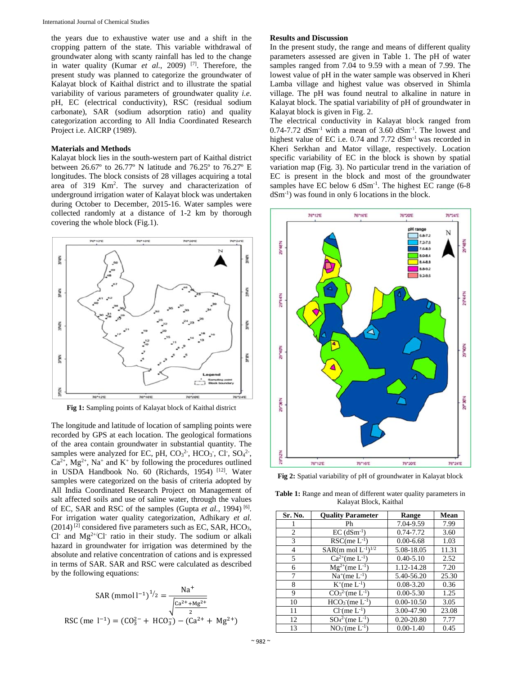the years due to exhaustive water use and a shift in the cropping pattern of the state. This variable withdrawal of groundwater along with scanty rainfall has led to the change in water quality (Kumar *et al.*, 2009) [7]. Therefore, the present study was planned to categorize the groundwater of Kalayat block of Kaithal district and to illustrate the spatial variability of various parameters of groundwater quality *i.e.* pH, EC (electrical conductivity), RSC (residual sodium carbonate), SAR (sodium adsorption ratio) and quality categorization according to All India Coordinated Research Project i.e. AICRP (1989).

# **Materials and Methods**

Kalayat block lies in the south-western part of Kaithal district between 26.67º to 26.77º N latitude and 76.25º to 76.27º E longitudes. The block consists of 28 villages acquiring a total area of 319 Km<sup>2</sup>. The survey and characterization of underground irrigation water of Kalayat block was undertaken during October to December, 2015-16. Water samples were collected randomly at a distance of 1-2 km by thorough covering the whole block (Fig.1).



The longitude and latitude of location of sampling points were recorded by GPS at each location. The geological formations of the area contain groundwater in substantial quantity. The samples were analyzed for EC, pH,  $CO<sub>3</sub><sup>2</sup>$ , HCO<sub>3</sub>, Cl, SO<sub>4</sub><sup>2</sup>,  $Ca^{2+}$ ,  $Mg^{2+}$ , Na<sup>+</sup> and K<sup>+</sup> by following the procedures outlined in USDA Handbook No. 60 (Richards, 1954) [12]. Water samples were categorized on the basis of criteria adopted by All India Coordinated Research Project on Management of salt affected soils and use of saline water, through the values of EC, SAR and RSC of the samples (Gupta *et al.,* 1994) [6]. For irrigation water quality categorization, Adhikary *et al.*  $(2014)$ <sup>[2]</sup> considered five parameters such as EC, SAR, HCO<sub>3</sub>, Cl and  $Mg^{2+}/Cl$  ratio in their study. The sodium or alkali hazard in groundwater for irrigation was determined by the absolute and relative concentration of cations and is expressed in terms of SAR. SAR and RSC were calculated as described by the following equations:

SAR (mmol l<sup>-1</sup>)<sup>1</sup>/<sub>2</sub> = 
$$
\frac{Na^{+}}{\sqrt{\frac{Ca^{2+} + Mg^{2+}}{2}}}
$$
RSC (me l<sup>-1</sup>) = (CO<sup>2</sup><sub>3</sub> + HCO<sup>-1</sup><sub>3</sub>) - (Ca<sup>2+</sup> + Mg<sup>2+</sup>)

## **Results and Discussion**

In the present study, the range and means of different quality parameters assessed are given in Table 1. The pH of water samples ranged from 7.04 to 9.59 with a mean of 7.99. The lowest value of pH in the water sample was observed in Kheri Lamba village and highest value was observed in Shimla village. The pH was found neutral to alkaline in nature in Kalayat block. The spatial variability of pH of groundwater in Kalayat block is given in Fig. 2.

The electrical conductivity in Kalayat block ranged from  $0.74$ -7.72 dSm<sup>-1</sup> with a mean of 3.60 dSm<sup>-1</sup>. The lowest and highest value of EC i.e. 0.74 and 7.72 dSm<sup>-1</sup> was recorded in Kheri Serkhan and Mator village, respectively. Location specific variability of EC in the block is shown by spatial variation map (Fig. 3). No particular trend in the variation of EC is present in the block and most of the groundwater samples have EC below  $6 \text{ dSm}^{-1}$ . The highest EC range (6-8) dSm-1) was found in only 6 locations in the block.



**Fig 2:** Spatial variability of pH of groundwater in Kalayat block

**Table 1:** Range and mean of different water quality parameters in Kalayat Block, Kaithal

| Sr. No.        | <b>Quality Parameter</b>           | Range          | Mean  |
|----------------|------------------------------------|----------------|-------|
|                | Ph                                 | 7.04-9.59      | 7.99  |
| $\overline{c}$ | $EC$ (dSm <sup>-1</sup> )          | 0.74-7.72      | 3.60  |
| 3              | $RSC$ (me $L^{-1}$ )               | $0.00 - 6.68$  | 1.03  |
| 4              | $SAR(m \text{ mol } L^{-1})^{1/2}$ | 5.08-18.05     | 11.31 |
| 5              | $Ca^{2+}$ (me L <sup>-1</sup> )    | $0.40 - 5.10$  | 2.52  |
| 6              | $Mg^{2+}$ (me L <sup>-1</sup> )    | 1.12-14.28     | 7.20  |
| 7              | $Na^{+}$ (me $L^{-1}$ )            | 5.40-56.20     | 25.30 |
| 8              | $K^{+}$ (me $L^{-1}$ )             | $0.08 - 3.20$  | 0.36  |
| 9              | $CO32(me L-1)$                     | $0.00 - 5.30$  | 1.25  |
| 10             | $HCO3$ (me $L-1$ )                 | $0.00 - 10.50$ | 3.05  |
| 11             | $Cl$ (me $L^{-1}$ )                | 3.00-47.90     | 23.08 |
| 12             | $SO_4^2$ (me $L^{-1}$ )            | $0.20 - 20.80$ | 7.77  |
| 13             | $NO3$ (me $L-1$ )                  | $0.00 - 1.40$  | 0.45  |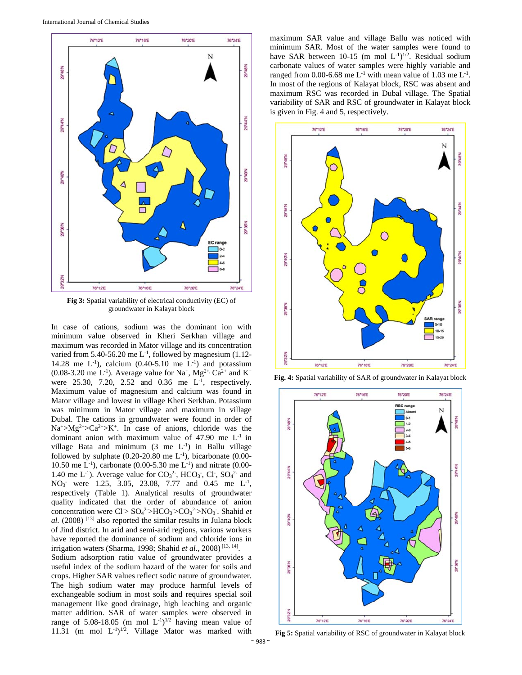

**Fig 3:** Spatial variability of electrical conductivity (EC) of groundwater in Kalayat block

In case of cations, sodium was the dominant ion with minimum value observed in Kheri Serkhan village and maximum was recorded in Mator village and its concentration varied from 5.40-56.20 me  $L^{-1}$ , followed by magnesium (1.12-14.28 me  $L^{-1}$ ), calcium (0.40-5.10 me  $L^{-1}$ ) and potassium  $(0.08-3.20 \text{ me } L^{-1})$ . Average value for Na<sup>+</sup>, Mg<sup>2+,</sup> Ca<sup>2+</sup> and K<sup>+</sup> were  $25.30, 7.20, 2.52$  and  $0.36$  me  $L^{-1}$ , respectively. Maximum value of magnesium and calcium was found in Mator village and lowest in village Kheri Serkhan. Potassium was minimum in Mator village and maximum in village Dubal. The cations in groundwater were found in order of  $Na^+ > Mg^{2+} > Ca^{2+} > K^+$ . In case of anions, chloride was the dominant anion with maximum value of  $47.90$  me  $L^{-1}$  in village Bata and minimum  $(3 \text{ me } L^{-1})$  in Ballu village followed by sulphate  $(0.20{\text -}20.80 \text{ me } L^{-1})$ , bicarbonate  $(0.00{\text -}1)$ 10.50 me  $L^{-1}$ ), carbonate (0.00-5.30 me  $L^{-1}$ ) and nitrate (0.00-1.40 me  $L^{-1}$ ). Average value for  $CO<sub>3</sub><sup>2</sup>$ , HCO<sub>3</sub>, Cl<sup>-</sup>, SO<sub>4</sub><sup>2-</sup> and NO<sub>3</sub> were 1.25, 3.05, 23.08, 7.77 and 0.45 me L<sup>-1</sup>, respectively (Table 1). Analytical results of groundwater quality indicated that the order of abundance of anion concentration were  $Cl > SO<sub>4</sub><sup>2</sup> > HCO<sub>3</sub> > CO<sub>3</sub><sup>2</sup> > NO<sub>3</sub>$ . Shahid *et al.* (2008) [13] also reported the similar results in Julana block of Jind district. In arid and semi-arid regions, various workers have reported the dominance of sodium and chloride ions in irrigation waters (Sharma, 1998; Shahid *et al.,* 2008) [13, 14].

Sodium adsorption ratio value of groundwater provides a useful index of the sodium hazard of the water for soils and crops. Higher SAR values reflect sodic nature of groundwater. The high sodium water may produce harmful levels of exchangeable sodium in most soils and requires special soil management like good drainage, high leaching and organic matter addition. SAR of water samples were observed in range of 5.08-18.05 (m mol  $L^{-1}$ )<sup>1/2</sup> having mean value of 11.31 (m mol  $L^{-1}$ )<sup>1/2</sup>. Village Mator was marked with maximum SAR value and village Ballu was noticed with minimum SAR. Most of the water samples were found to have SAR between 10-15 (m mol  $L^{-1}$ )<sup>1/2</sup>. Residual sodium carbonate values of water samples were highly variable and ranged from 0.00-6.68 me  $L^{-1}$  with mean value of 1.03 me  $L^{-1}$ . In most of the regions of Kalayat block, RSC was absent and maximum RSC was recorded in Dubal village. The Spatial variability of SAR and RSC of groundwater in Kalayat block is given in Fig. 4 and 5, respectively.



**Fig. 4:** Spatial variability of SAR of groundwater in Kalayat block



**Fig 5:** Spatial variability of RSC of groundwater in Kalayat block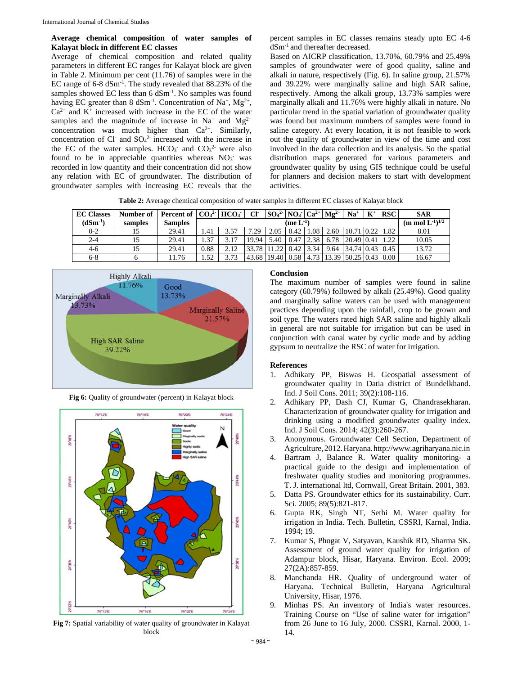# **Average chemical composition of water samples of Kalayat block in different EC classes**

Average of chemical composition and related quality parameters in different EC ranges for Kalayat block are given in Table 2. Minimum per cent (11.76) of samples were in the EC range of 6-8 dSm-1. The study revealed that 88.23% of the samples showed EC less than 6 dSm<sup>-1</sup>. No samples was found having EC greater than 8 dSm<sup>-1</sup>. Concentration of Na<sup>+</sup>, Mg<sup>2+</sup>,  $Ca<sup>2+</sup>$  and K<sup>+</sup> increased with increase in the EC of the water samples and the magnitude of increase in Na<sup>+</sup> and Mg<sup>2+</sup> concentration was much higher than  $Ca^{2+}$ . Similarly, concentration of Cl<sup>-</sup> and  $SO<sub>4</sub><sup>2</sup>$  increased with the increase in the EC of the water samples.  $HCO<sub>3</sub>$  and  $CO<sub>3</sub>$ <sup>2</sup> were also found to be in appreciable quantities whereas  $NO<sub>3</sub>$  was recorded in low quantity and their concentration did not show any relation with EC of groundwater. The distribution of groundwater samples with increasing EC reveals that the percent samples in EC classes remains steady upto EC 4-6 dSm-1 and thereafter decreased.

Based on AICRP classification, 13.70%, 60.79% and 25.49% samples of groundwater were of good quality, saline and alkali in nature, respectively (Fig. 6). In saline group, 21.57% and 39.22% were marginally saline and high SAR saline, respectively. Among the alkali group, 13.73% samples were marginally alkali and 11.76% were highly alkali in nature. No particular trend in the spatial variation of groundwater quality was found but maximum numbers of samples were found in saline category. At every location, it is not feasible to work out the quality of groundwater in view of the time and cost involved in the data collection and its analysis. So the spatial distribution maps generated for various parameters and groundwater quality by using GIS technique could be useful for planners and decision makers to start with development activities.

**Table 2:** Average chemical composition of water samples in different EC classes of Kalayat block

| <b>EC Classes</b> | Number of | Percent of $ CO32$ HCO <sub>3</sub> |                |      | CF-   | $ SO_4{}^{2-} NO_3 Ca^{2+} Mg^{2+}$ |      |      |      | $Na+$                   | $\mathbf{K}^+$                   | <b>RSC</b> | <b>SAR</b> |
|-------------------|-----------|-------------------------------------|----------------|------|-------|-------------------------------------|------|------|------|-------------------------|----------------------------------|------------|------------|
| $(dSm^{-1})$      | samples   | <b>Samples</b>                      | (me $L^{-1}$ ) |      |       |                                     |      |      |      |                         | (m mol $L^{-1}$ ) <sup>1/2</sup> |            |            |
| $0 - 2$           | 15        | 29.41                               | 1.41           | 3.57 | .29   | 2.05                                | 0.42 | 0.08 | 2.60 | 10.71 0.22 1.82         |                                  |            | 8.01       |
| 2-4               | 15        | 29.41                               | 1.37           | 3.17 | 19.94 | 5.40                                | 0.47 | 2.38 | 6.78 | 20.49 0.41              |                                  | 1.22       | 10.05      |
| $4-6$             | 15        | 29.41                               | 0.88           | 212  | 78    | 1.22                                | 0.42 | 3.34 |      | 9.64 34.74 0.43         |                                  | 0.45       | 13.72      |
| $6 - 8$           |           | 11.76                               | 1.52           | 3.73 |       | 43.68   19.40   0.58                |      | 4.73 |      | $13.39$ 50.25 0.43 0.00 |                                  |            | 16.67      |



**Fig 6:** Quality of groundwater (percent) in Kalayat block



**Fig 7:** Spatial variability of water quality of groundwater in Kalayat block

# **Conclusion**

The maximum number of samples were found in saline category (60.79%) followed by alkali (25.49%). Good quality and marginally saline waters can be used with management practices depending upon the rainfall, crop to be grown and soil type. The waters rated high SAR saline and highly alkali in general are not suitable for irrigation but can be used in conjunction with canal water by cyclic mode and by adding gypsum to neutralize the RSC of water for irrigation.

# **References**

- 1. Adhikary PP, Biswas H. Geospatial assessment of groundwater quality in Datia district of Bundelkhand. Ind. J Soil Cons. 2011; 39(2):108-116.
- 2. Adhikary PP, Dash CJ, Kumar G, Chandrasekharan. Characterization of groundwater quality for irrigation and drinking using a modified groundwater quality index. Ind. J Soil Cons. 2014; 42(3):260-267.
- 3. Anonymous. Groundwater Cell Section, Department of Agriculture,2012.Haryana.http://www.agriharyana.nic.in
- 4. Bartram J, Balance R. Water quality monitoring- a practical guide to the design and implementation of freshwater quality studies and monitoring programmes. T. J. international ltd, Cornwall, Great Britain. 2001, 383.
- 5. Datta PS. Groundwater ethics for its sustainability. Curr. Sci. 2005; 89(5):821-817.
- 6. Gupta RK, Singh NT, Sethi M. Water quality for irrigation in India. Tech. Bulletin, CSSRI, Karnal, India. 1994; 19.
- 7. Kumar S, Phogat V, Satyavan, Kaushik RD, Sharma SK. Assessment of ground water quality for irrigation of Adampur block, Hisar, Haryana. Environ. Ecol. 2009; 27(2A):857-859.
- 8. Manchanda HR. Quality of underground water of Haryana. Technical Bulletin, Haryana Agricultural University, Hisar, 1976.
- Minhas PS. An inventory of India's water resources. Training Course on "Use of saline water for irrigation" from 26 June to 16 July, 2000. CSSRI, Karnal. 2000, 1- 14.